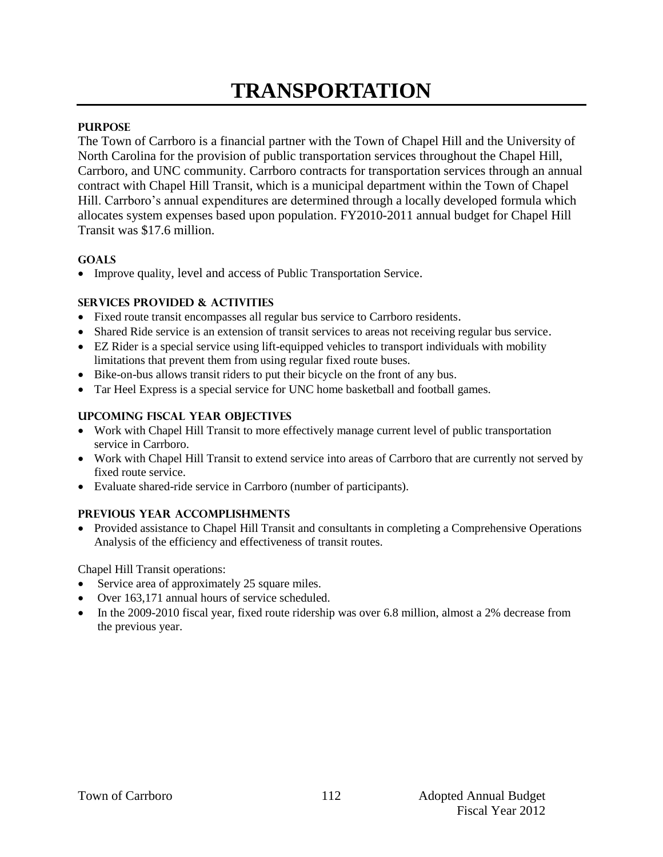# **TRANSPORTATION**

### **PURPOSE**

The Town of Carrboro is a financial partner with the Town of Chapel Hill and the University of North Carolina for the provision of public transportation services throughout the Chapel Hill, Carrboro, and UNC community. Carrboro contracts for transportation services through an annual contract with Chapel Hill Transit, which is a municipal department within the Town of Chapel Hill. Carrboro's annual expenditures are determined through a locally developed formula which allocates system expenses based upon population. FY2010-2011 annual budget for Chapel Hill Transit was \$17.6 million.

# **GOALS**

Improve quality, level and access of Public Transportation Service.

# **SERVICES PROVIDED & ACTIVITIES**

- Fixed route transit encompasses all regular bus service to Carrboro residents.
- Shared Ride service is an extension of transit services to areas not receiving regular bus service.
- EZ Rider is a special service using lift-equipped vehicles to transport individuals with mobility limitations that prevent them from using regular fixed route buses.
- Bike-on-bus allows transit riders to put their bicycle on the front of any bus.
- Tar Heel Express is a special service for UNC home basketball and football games.

# **UPCOMING FISCAL YEAR OBJECTIVES**

- Work with Chapel Hill Transit to more effectively manage current level of public transportation service in Carrboro.
- Work with Chapel Hill Transit to extend service into areas of Carrboro that are currently not served by fixed route service.
- Evaluate shared-ride service in Carrboro (number of participants).

# **PREVIOUS YEAR ACCOMPLISHMENTS**

• Provided assistance to Chapel Hill Transit and consultants in completing a Comprehensive Operations Analysis of the efficiency and effectiveness of transit routes.

Chapel Hill Transit operations:

- Service area of approximately 25 square miles.
- Over 163,171 annual hours of service scheduled.
- In the 2009-2010 fiscal year, fixed route ridership was over 6.8 million, almost a 2% decrease from the previous year.